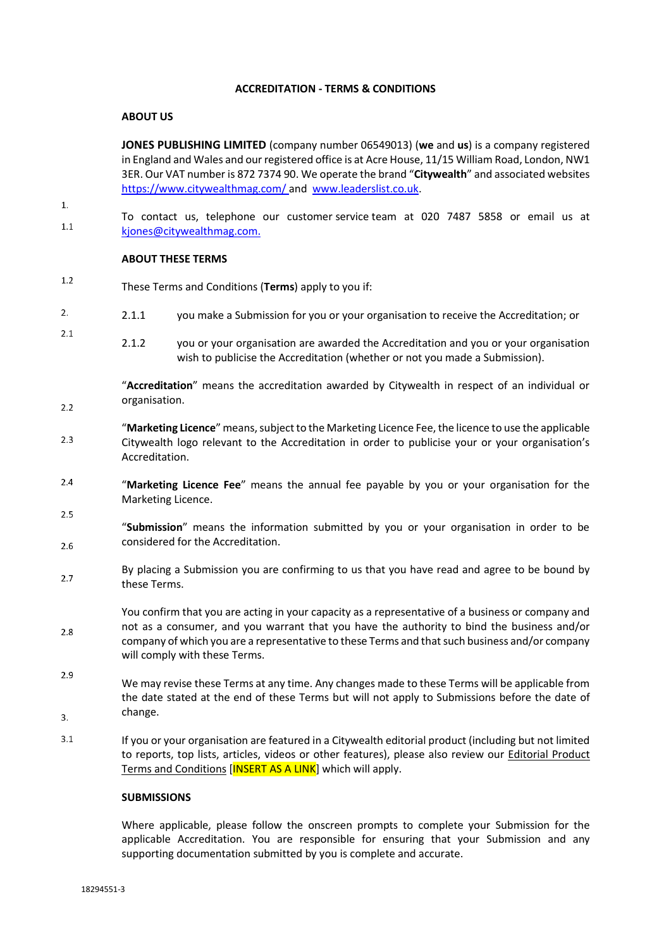# **ACCREDITATION - TERMS & CONDITIONS**

# **ABOUT US**

**JONES PUBLISHING LIMITED** (company number 06549013) (**we** and **us**) is a company registered in England and Wales and our registered office is at Acre House, 11/15 William Road, London, NW1 3ER. Our VAT number is 872 7374 90. We operate the brand "**Citywealth**" and associated websites <https://www.citywealthmag.com/> and [www.leaderslist.co.uk.](http://www.leaderslist.co.uk/)

 $\mathbf{1}$ .

 $2.1$ 

 $2.2$ 

 $2.5$ 

To contact us, telephone our customer service team at 020 7487 5858 or email us at  $1.1$ [kjones@citywealthmag.com.](mailto:kjones@citywealthmag.com)

## **ABOUT THESE TERMS**

- $1.2$ These Terms and Conditions (**Terms**) apply to you if:
- $2.$ 2.1.1 you make a Submission for you or your organisation to receive the Accreditation; or
	- 2.1.2 you or your organisation are awarded the Accreditation and you or your organisation wish to publicise the Accreditation (whether or not you made a Submission).

"**Accreditation**" means the accreditation awarded by Citywealth in respect of an individual or organisation.

- "**Marketing Licence**" means, subject to the Marketing Licence Fee,the licence to use the applicable  $2.3$ Citywealth logo relevant to the Accreditation in order to publicise your or your organisation's Accreditation.
- $2.4$ "**Marketing Licence Fee**" means the annual fee payable by you or your organisation for the Marketing Licence.
- "**Submission**" means the information submitted by you or your organisation in order to be considered for the Accreditation.  $2.6$
- By placing a Submission you are confirming to us that you have read and agree to be bound by  $2.7$ these Terms.
- You confirm that you are acting in your capacity as a representative of a business or company and not as a consumer, and you warrant that you have the authority to bind the business and/or 2.8 company of which you are a representative to these Terms and that such business and/or company will comply with these Terms.
- 2.9 We may revise these Terms at any time. Any changes made to these Terms will be applicable from the date stated at the end of these Terms but will not apply to Submissions before the date of change. 3.
- $3.1$ If you or your organisation are featured in a Citywealth editorial product (including but not limited to reports, top lists, articles, videos or other features), please also review our Editorial Product Terms and Conditions [INSERT AS A LINK] which will apply.

## **SUBMISSIONS**

Where applicable, please follow the onscreen prompts to complete your Submission for the applicable Accreditation. You are responsible for ensuring that your Submission and any supporting documentation submitted by you is complete and accurate.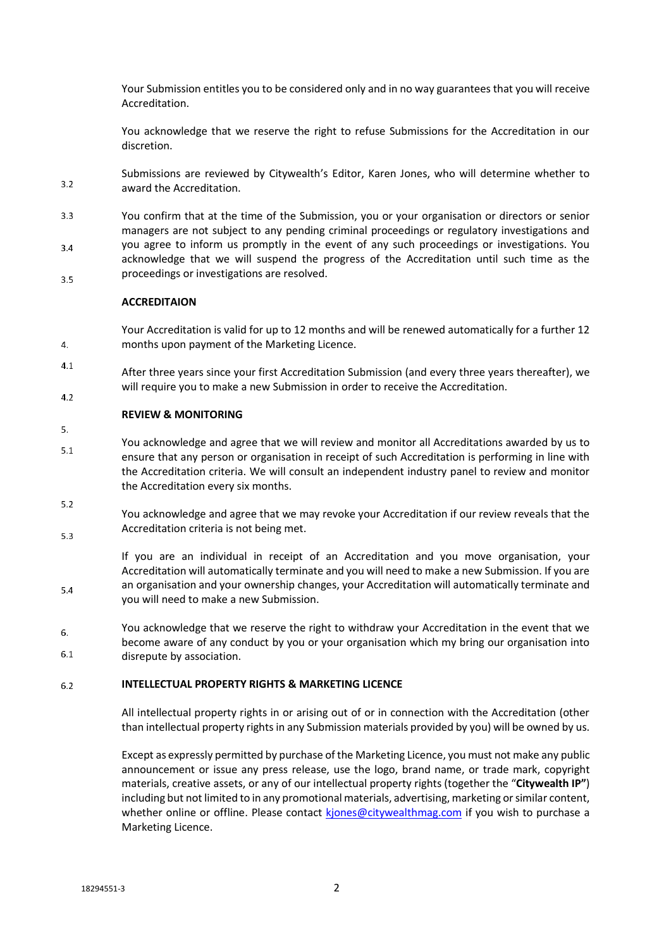Your Submission entitles you to be considered only and in no way guarantees that you will receive Accreditation.

You acknowledge that we reserve the right to refuse Submissions for the Accreditation in our discretion.

Submissions are reviewed by Citywealth's Editor, Karen Jones, who will determine whether to  $3.2$ award the Accreditation.

 $3.3$ You confirm that at the time of the Submission, you or your organisation or directors or senior managers are not subject to any pending criminal proceedings or regulatory investigations and you agree to inform us promptly in the event of any such proceedings or investigations. You  $34$ acknowledge that we will suspend the progress of the Accreditation until such time as the proceedings or investigations are resolved.  $3.5$ 

# **ACCREDITAION**

 $4.$ 

 $5.$ 

5.4

Your Accreditation is valid for up to 12 months and will be renewed automatically for a further 12 months upon payment of the Marketing Licence.

 $4.1$ After three years since your first Accreditation Submission (and every three years thereafter), we will require you to make a new Submission in order to receive the Accreditation.  $42$ 

## **REVIEW & MONITORING**

- You acknowledge and agree that we will review and monitor all Accreditations awarded by us to  $5.1$ ensure that any person or organisation in receipt of such Accreditation is performing in line with the Accreditation criteria. We will consult an independent industry panel to review and monitor the Accreditation every six months.
- $5.2$ You acknowledge and agree that we may revoke your Accreditation if our review reveals that the Accreditation criteria is not being met.  $5.3$

If you are an individual in receipt of an Accreditation and you move organisation, your Accreditation will automatically terminate and you will need to make a new Submission. If you are an organisation and your ownership changes, your Accreditation will automatically terminate and you will need to make a new Submission.

You acknowledge that we reserve the right to withdraw your Accreditation in the event that we 6. become aware of any conduct by you or your organisation which my bring our organisation into  $6.1$ disrepute by association.

#### **INTELLECTUAL PROPERTY RIGHTS & MARKETING LICENCE**  $6.2$

All intellectual property rights in or arising out of or in connection with the Accreditation (other than intellectual property rights in any Submission materials provided by you) will be owned by us.

Except as expressly permitted by purchase of the Marketing Licence, you must not make any public announcement or issue any press release, use the logo, brand name, or trade mark, copyright materials, creative assets, or any of our intellectual property rights (together the "**Citywealth IP"**) including but not limited to in any promotional materials, advertising, marketing or similar content, whether online or offline. Please contact kiones@citywealthmag.com if you wish to purchase a Marketing Licence.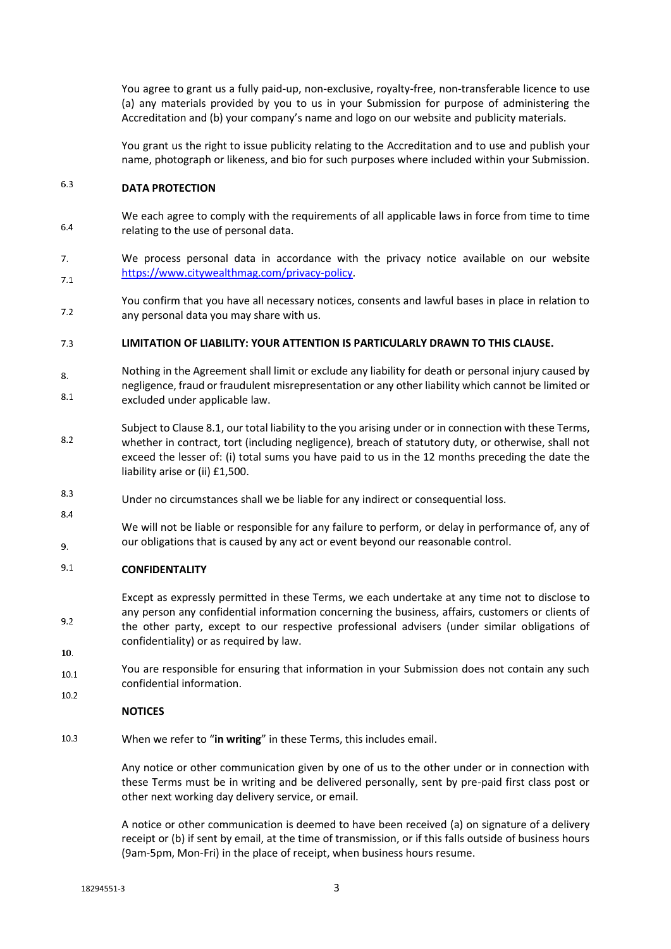You agree to grant us a fully paid-up, non-exclusive, royalty-free, non-transferable licence to use (a) any materials provided by you to us in your Submission for purpose of administering the Accreditation and (b) your company's name and logo on our website and publicity materials.

You grant us the right to issue publicity relating to the Accreditation and to use and publish your name, photograph or likeness, and bio for such purposes where included within your Submission.

### $6.3$ **DATA PROTECTION**

- We each agree to comply with the requirements of all applicable laws in force from time to time 6.4 relating to the use of personal data.
- $7.$ We process personal data in accordance with the privacy notice available on our website https://www.citywealthmag.com/privacy-policy.  $7.1$
- You confirm that you have all necessary notices, consents and lawful bases in place in relation to  $7.2$ any personal data you may share with us.

### **LIMITATION OF LIABILITY: YOUR ATTENTION IS PARTICULARLY DRAWN TO THIS CLAUSE.**  $7.3$

- Nothing in the Agreement shall limit or exclude any liability for death or personal injury caused by 8. negligence, fraud or fraudulent misrepresentation or any other liability which cannot be limited or 8.1 excluded under applicable law.
- Subject to Clause 8.1, our total liability to the you arising under or in connection with these Terms, 8.2 whether in contract, tort (including negligence), breach of statutory duty, or otherwise, shall not exceed the lesser of: (i) total sums you have paid to us in the 12 months preceding the date the liability arise or (ii) £1,500.
- 8.3 Under no circumstances shall we be liable for any indirect or consequential loss.
- We will not be liable or responsible for any failure to perform, or delay in performance of, any of our obligations that is caused by any act or event beyond our reasonable control. 9.

### $9.1$ **CONFIDENTALITY**

Except as expressly permitted in these Terms, we each undertake at any time not to disclose to any person any confidential information concerning the business, affairs, customers or clients of the other party, except to our respective professional advisers (under similar obligations of confidentiality) or as required by law.

 $10<sup>1</sup>$ 

 $9.2$ 

8.4

You are responsible for ensuring that information in your Submission does not contain any such  $10.1$ confidential information. 10.2

## **NOTICES**

10.3 When we refer to "**in writing**" in these Terms, this includes email.

> Any notice or other communication given by one of us to the other under or in connection with these Terms must be in writing and be delivered personally, sent by pre-paid first class post or other next working day delivery service, or email.

> A notice or other communication is deemed to have been received (a) on signature of a delivery receipt or (b) if sent by email, at the time of transmission, or if this falls outside of business hours (9am-5pm, Mon-Fri) in the place of receipt, when business hours resume.